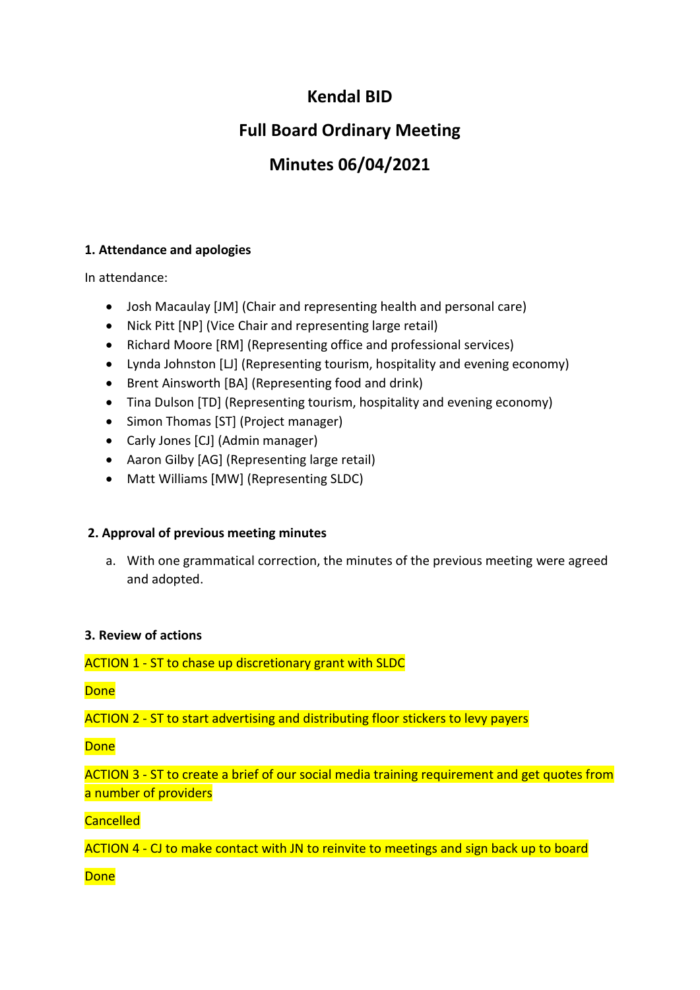# **Kendal BID**

# **Full Board Ordinary Meeting**

# **Minutes 06/04/2021**

# **1. Attendance and apologies**

In attendance:

- Josh Macaulay [JM] (Chair and representing health and personal care)
- Nick Pitt [NP] (Vice Chair and representing large retail)
- Richard Moore [RM] (Representing office and professional services)
- Lynda Johnston [LJ] (Representing tourism, hospitality and evening economy)
- Brent Ainsworth [BA] (Representing food and drink)
- Tina Dulson [TD] (Representing tourism, hospitality and evening economy)
- Simon Thomas [ST] (Project manager)
- Carly Jones [CJ] (Admin manager)
- Aaron Gilby [AG] (Representing large retail)
- Matt Williams [MW] (Representing SLDC)

# **2. Approval of previous meeting minutes**

a. With one grammatical correction, the minutes of the previous meeting were agreed and adopted.

# **3. Review of actions**

ACTION 1 - ST to chase up discretionary grant with SLDC

Done

ACTION 2 - ST to start advertising and distributing floor stickers to levy payers

**Done** 

ACTION 3 - ST to create a brief of our social media training requirement and get quotes from a number of providers

**Cancelled** 

ACTION 4 - CJ to make contact with JN to reinvite to meetings and sign back up to board

Done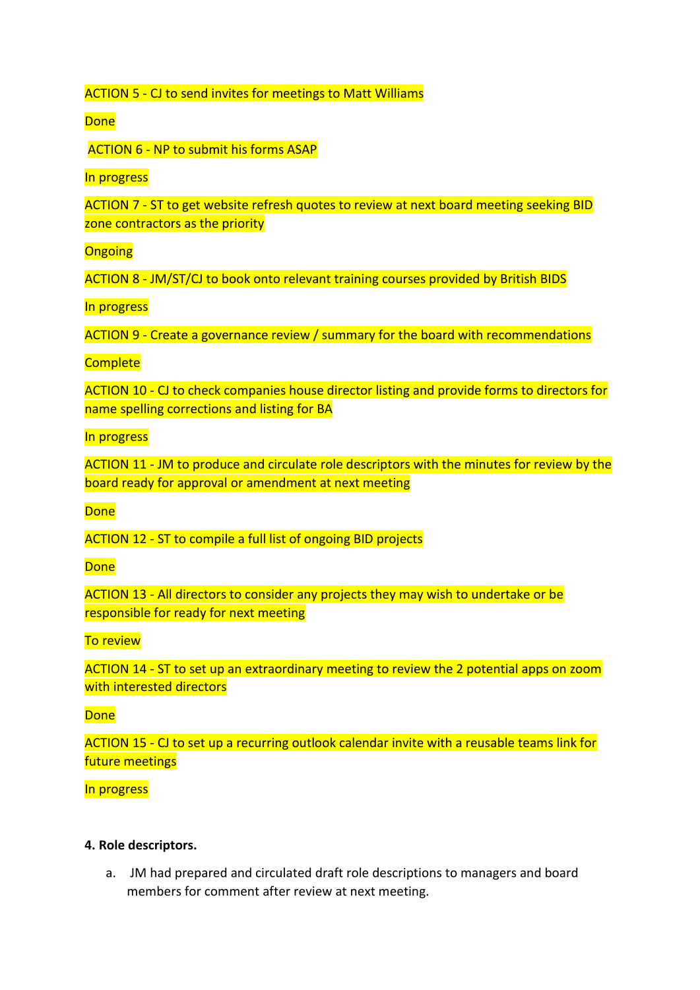ACTION 5 - CJ to send invites for meetings to Matt Williams

**Done** 

ACTION 6 - NP to submit his forms ASAP

In progress

ACTION 7 - ST to get website refresh quotes to review at next board meeting seeking BID zone contractors as the priority

**Ongoing** 

ACTION 8 - JM/ST/CJ to book onto relevant training courses provided by British BIDS

In progress

ACTION 9 - Create a governance review / summary for the board with recommendations

**Complete** 

ACTION 10 - CJ to check companies house director listing and provide forms to directors for name spelling corrections and listing for BA

## In progress

ACTION 11 - JM to produce and circulate role descriptors with the minutes for review by the board ready for approval or amendment at next meeting

**Done** 

ACTION 12 - ST to compile a full list of ongoing BID projects

**Done** 

ACTION 13 - All directors to consider any projects they may wish to undertake or be responsible for ready for next meeting

To review

ACTION 14 - ST to set up an extraordinary meeting to review the 2 potential apps on zoom with interested directors

Done

ACTION 15 - CJ to set up a recurring outlook calendar invite with a reusable teams link for future meetings

#### In progress

#### **4. Role descriptors.**

a. JM had prepared and circulated draft role descriptions to managers and board members for comment after review at next meeting.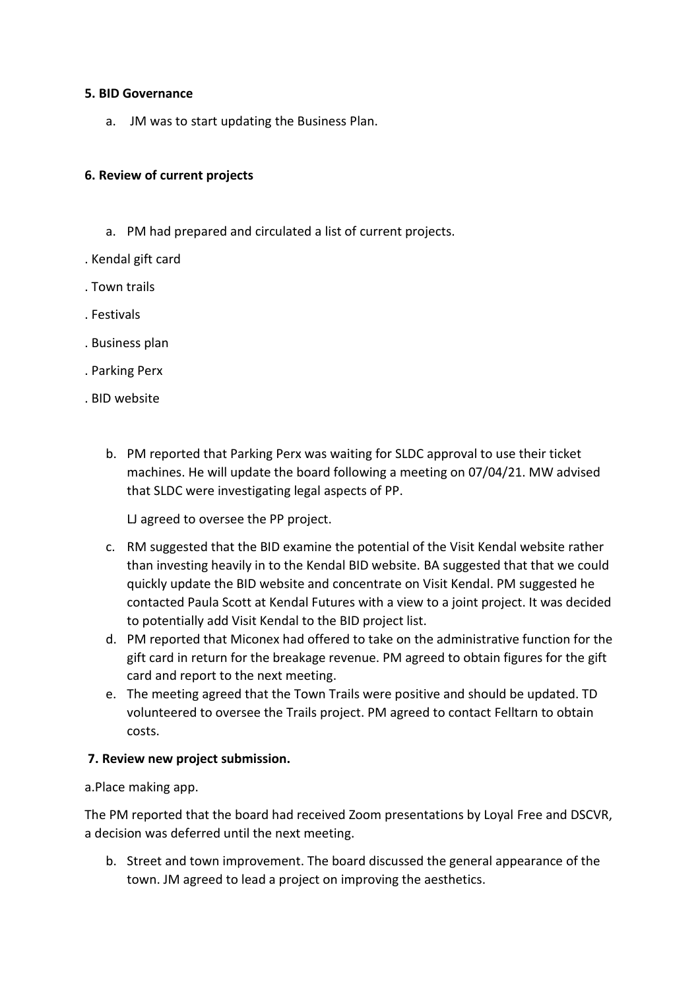#### **5. BID Governance**

a. JM was to start updating the Business Plan.

### **6. Review of current projects**

- a. PM had prepared and circulated a list of current projects.
- . Kendal gift card
- . Town trails
- . Festivals
- . Business plan
- . Parking Perx
- . BID website
	- b. PM reported that Parking Perx was waiting for SLDC approval to use their ticket machines. He will update the board following a meeting on 07/04/21. MW advised that SLDC were investigating legal aspects of PP.

LJ agreed to oversee the PP project.

- c. RM suggested that the BID examine the potential of the Visit Kendal website rather than investing heavily in to the Kendal BID website. BA suggested that that we could quickly update the BID website and concentrate on Visit Kendal. PM suggested he contacted Paula Scott at Kendal Futures with a view to a joint project. It was decided to potentially add Visit Kendal to the BID project list.
- d. PM reported that Miconex had offered to take on the administrative function for the gift card in return for the breakage revenue. PM agreed to obtain figures for the gift card and report to the next meeting.
- e. The meeting agreed that the Town Trails were positive and should be updated. TD volunteered to oversee the Trails project. PM agreed to contact Felltarn to obtain costs.

#### **7. Review new project submission.**

a.Place making app.

The PM reported that the board had received Zoom presentations by Loyal Free and DSCVR, a decision was deferred until the next meeting.

b. Street and town improvement. The board discussed the general appearance of the town. JM agreed to lead a project on improving the aesthetics.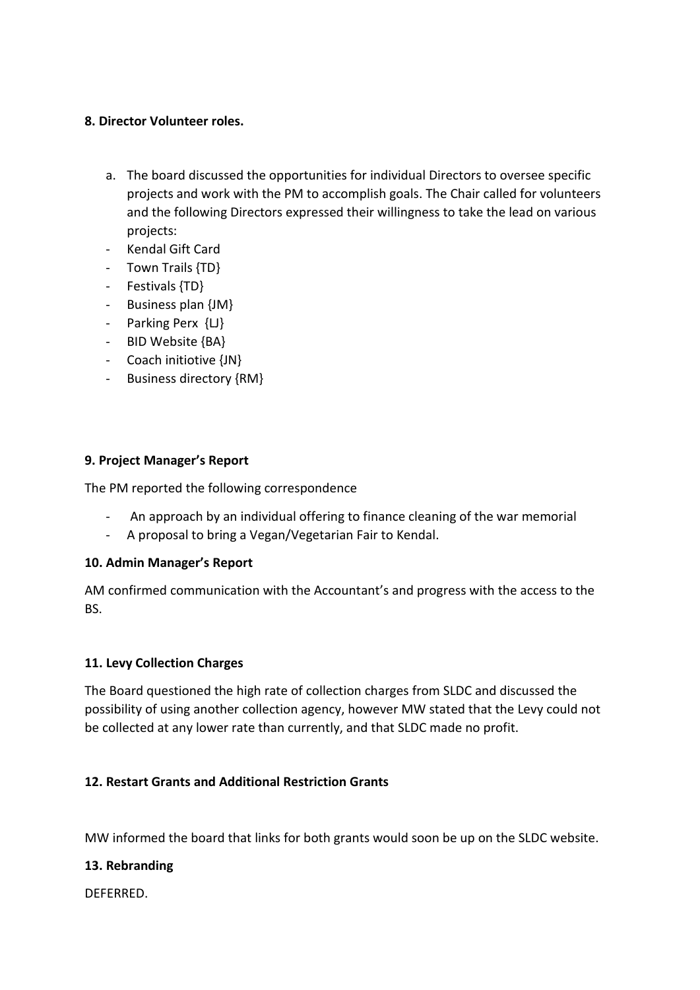#### **8. Director Volunteer roles.**

- a. The board discussed the opportunities for individual Directors to oversee specific projects and work with the PM to accomplish goals. The Chair called for volunteers and the following Directors expressed their willingness to take the lead on various projects:
- Kendal Gift Card
- Town Trails {TD}
- Festivals {TD}
- Business plan {JM}
- Parking Perx {LJ}
- BID Website {BA}
- Coach initiotive {JN}
- Business directory {RM}

## **9. Project Manager's Report**

The PM reported the following correspondence

- An approach by an individual offering to finance cleaning of the war memorial
- A proposal to bring a Vegan/Vegetarian Fair to Kendal.

## **10. Admin Manager's Report**

AM confirmed communication with the Accountant's and progress with the access to the BS.

## **11. Levy Collection Charges**

The Board questioned the high rate of collection charges from SLDC and discussed the possibility of using another collection agency, however MW stated that the Levy could not be collected at any lower rate than currently, and that SLDC made no profit.

# **12. Restart Grants and Additional Restriction Grants**

MW informed the board that links for both grants would soon be up on the SLDC website.

## **13. Rebranding**

DEFERRED.